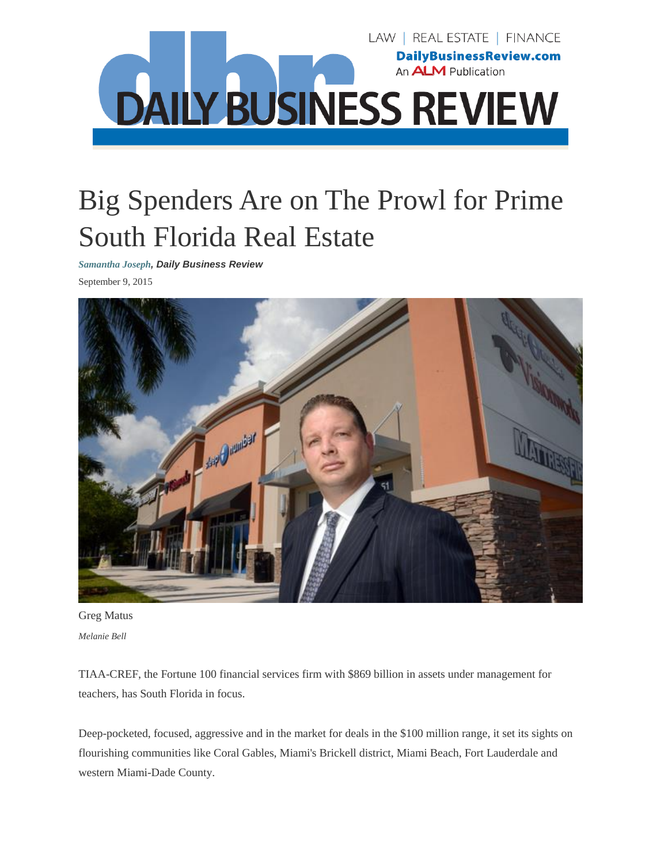

# Big Spenders Are on The Prowl for Prime South Florida Real Estate

*[Samantha](http://www.dailybusinessreview.com/id=1202619838460/Samantha-Joseph) Joseph, Daily Business Review*

September 9, 2015



Greg Matus *Melanie Bell*

TIAA-CREF, the Fortune 100 financial services firm with \$869 billion in assets under management for teachers, has South Florida in focus.

Deep-pocketed, focused, aggressive and in the market for deals in the \$100 million range, it set its sights on flourishing communities like Coral Gables, Miami's Brickell district, Miami Beach, Fort Lauderdale and western Miami-Dade County.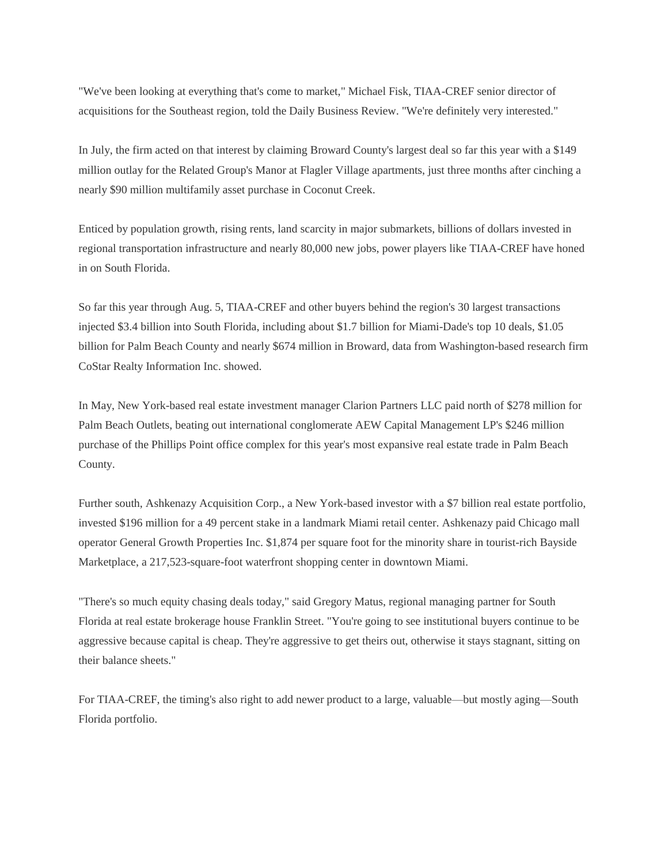"We've been looking at everything that's come to market," Michael Fisk, TIAA-CREF senior director of acquisitions for the Southeast region, told the Daily Business Review. "We're definitely very interested."

In July, the firm acted on that interest by claiming Broward County's largest deal so far this year with a \$149 million outlay for the Related Group's Manor at Flagler Village apartments, just three months after cinching a nearly \$90 million multifamily asset purchase in Coconut Creek.

Enticed by population growth, rising rents, land scarcity in major submarkets, billions of dollars invested in regional transportation infrastructure and nearly 80,000 new jobs, power players like TIAA-CREF have honed in on South Florida.

So far this year through Aug. 5, TIAA-CREF and other buyers behind the region's 30 largest transactions injected \$3.4 billion into South Florida, including about \$1.7 billion for Miami-Dade's top 10 deals, \$1.05 billion for Palm Beach County and nearly \$674 million in Broward, data from Washington-based research firm CoStar Realty Information Inc. showed.

In May, New York-based real estate investment manager Clarion Partners LLC paid north of \$278 million for Palm Beach Outlets, beating out international conglomerate AEW Capital Management LP's \$246 million purchase of the Phillips Point office complex for this year's most expansive real estate trade in Palm Beach County.

Further south, Ashkenazy Acquisition Corp., a New York-based investor with a \$7 billion real estate portfolio, invested \$196 million for a 49 percent stake in a landmark Miami retail center. Ashkenazy paid Chicago mall operator General Growth Properties Inc. \$1,874 per square foot for the minority share in tourist-rich Bayside Marketplace, a 217,523-square-foot waterfront shopping center in downtown Miami.

"There's so much equity chasing deals today," said Gregory Matus, regional managing partner for South Florida at real estate brokerage house Franklin Street. "You're going to see institutional buyers continue to be aggressive because capital is cheap. They're aggressive to get theirs out, otherwise it stays stagnant, sitting on their balance sheets."

For TIAA-CREF, the timing's also right to add newer product to a large, valuable—but mostly aging—South Florida portfolio.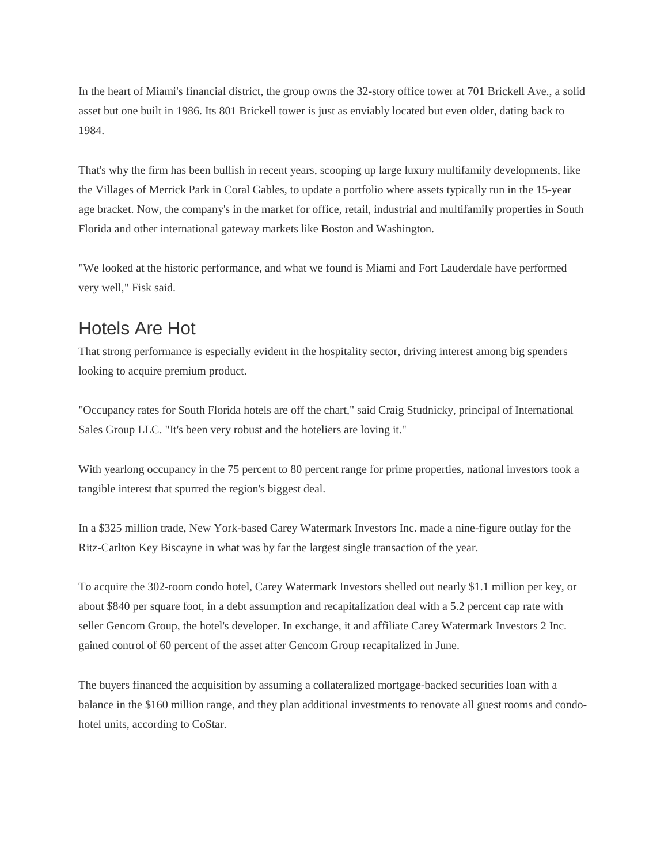In the heart of Miami's financial district, the group owns the 32-story office tower at 701 Brickell Ave., a solid asset but one built in 1986. Its 801 Brickell tower is just as enviably located but even older, dating back to 1984.

That's why the firm has been bullish in recent years, scooping up large luxury multifamily developments, like the Villages of Merrick Park in Coral Gables, to update a portfolio where assets typically run in the 15-year age bracket. Now, the company's in the market for office, retail, industrial and multifamily properties in South Florida and other international gateway markets like Boston and Washington.

"We looked at the historic performance, and what we found is Miami and Fort Lauderdale have performed very well," Fisk said.

#### Hotels Are Hot

That strong performance is especially evident in the hospitality sector, driving interest among big spenders looking to acquire premium product.

"Occupancy rates for South Florida hotels are off the chart," said Craig Studnicky, principal of International Sales Group LLC. "It's been very robust and the hoteliers are loving it."

With yearlong occupancy in the 75 percent to 80 percent range for prime properties, national investors took a tangible interest that spurred the region's biggest deal.

In a \$325 million trade, New York-based Carey Watermark Investors Inc. made a nine-figure outlay for the Ritz-Carlton Key Biscayne in what was by far the largest single transaction of the year.

To acquire the 302-room condo hotel, Carey Watermark Investors shelled out nearly \$1.1 million per key, or about \$840 per square foot, in a debt assumption and recapitalization deal with a 5.2 percent cap rate with seller Gencom Group, the hotel's developer. In exchange, it and affiliate Carey Watermark Investors 2 Inc. gained control of 60 percent of the asset after Gencom Group recapitalized in June.

The buyers financed the acquisition by assuming a collateralized mortgage-backed securities loan with a balance in the \$160 million range, and they plan additional investments to renovate all guest rooms and condohotel units, according to CoStar.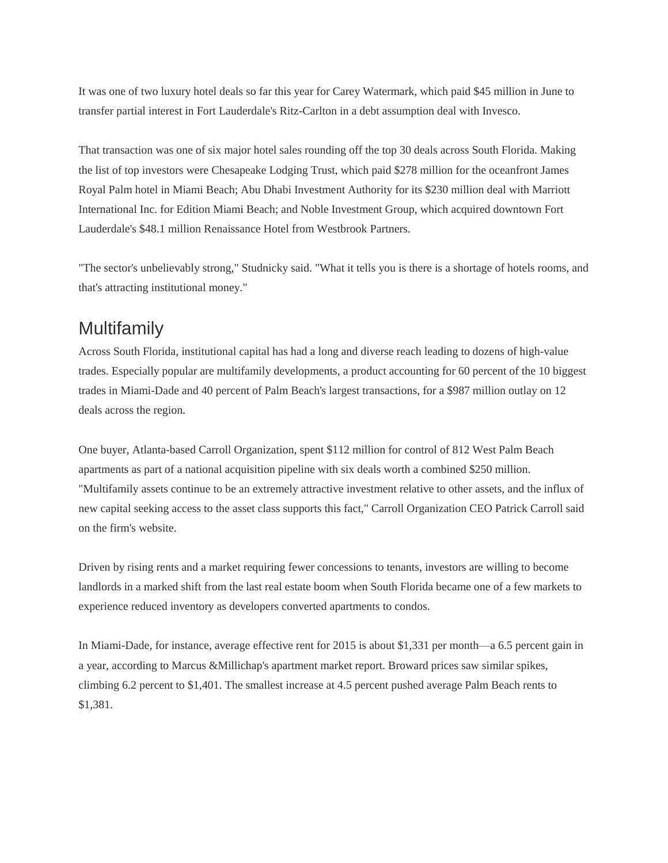It was one of two luxury hotel deals so far this year for Carey Watermark, which paid \$45 million in June to transfer partial interest in Fort Lauderdale's Ritz-Carlton in a debt assumption deal with Invesco.

That transaction was one of six major hotel sales rounding off the top 30 deals across South Florida. Making the list of top investors were Chesapeake Lodging Trust, which paid \$278 million for the oceanfront James Royal Palm hotel in Miami Beach; Abu Dhabi Investment Authority for its \$230 million deal with Marriott International Inc. for Edition Miami Beach; and Noble Investment Group, which acquired downtown Fort Lauderdale's \$48.1 million Renaissance Hotel from Westbrook Partners.

"The sector's unbelievably strong," Studnicky said. "What it tells you is there is a shortage of hotels rooms, and that's attracting institutional money."

#### Multifamily

Across South Florida, institutional capital has had a long and diverse reach leading to dozens of high-value trades. Especially popular are multifamily developments, a product accounting for 60 percent of the 10 biggest trades in Miami-Dade and 40 percent of Palm Beach's largest transactions, for a \$987 million outlay on 12 deals across the region.

One buyer, Atlanta-based Carroll Organization, spent \$112 million for control of 812 West Palm Beach apartments as part of a national acquisition pipeline with six deals worth a combined \$250 million. "Multifamily assets continue to be an extremely attractive investment relative to other assets, and the influx of new capital seeking access to the asset class supports this fact," Carroll Organization CEO Patrick Carroll said on the firm's website.

Driven by rising rents and a market requiring fewer concessions to tenants, investors are willing to become landlords in a marked shift from the last real estate boom when South Florida became one of a few markets to experience reduced inventory as developers converted apartments to condos.

In Miami-Dade, for instance, average effective rent for 2015 is about \$1,331 per month—a 6.5 percent gain in a year, according to Marcus &Millichap's apartment market report. Broward prices saw similar spikes, climbing 6.2 percent to \$1,401. The smallest increase at 4.5 percent pushed average Palm Beach rents to \$1,381.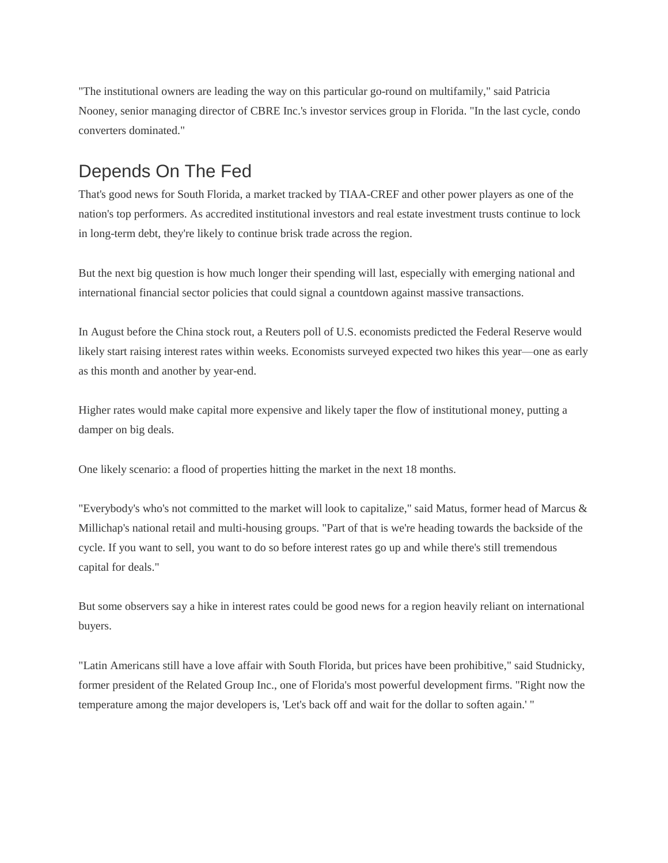"The institutional owners are leading the way on this particular go-round on multifamily," said Patricia Nooney, senior managing director of CBRE Inc.'s investor services group in Florida. "In the last cycle, condo converters dominated."

#### Depends On The Fed

That's good news for South Florida, a market tracked by TIAA-CREF and other power players as one of the nation's top performers. As accredited institutional investors and real estate investment trusts continue to lock in long-term debt, they're likely to continue brisk trade across the region.

But the next big question is how much longer their spending will last, especially with emerging national and international financial sector policies that could signal a countdown against massive transactions.

In August before the China stock rout, a Reuters poll of U.S. economists predicted the Federal Reserve would likely start raising interest rates within weeks. Economists surveyed expected two hikes this year—one as early as this month and another by year-end.

Higher rates would make capital more expensive and likely taper the flow of institutional money, putting a damper on big deals.

One likely scenario: a flood of properties hitting the market in the next 18 months.

"Everybody's who's not committed to the market will look to capitalize," said Matus, former head of Marcus & Millichap's national retail and multi-housing groups. "Part of that is we're heading towards the backside of the cycle. If you want to sell, you want to do so before interest rates go up and while there's still tremendous capital for deals."

But some observers say a hike in interest rates could be good news for a region heavily reliant on international buyers.

"Latin Americans still have a love affair with South Florida, but prices have been prohibitive," said Studnicky, former president of the Related Group Inc., one of Florida's most powerful development firms. "Right now the temperature among the major developers is, 'Let's back off and wait for the dollar to soften again.' "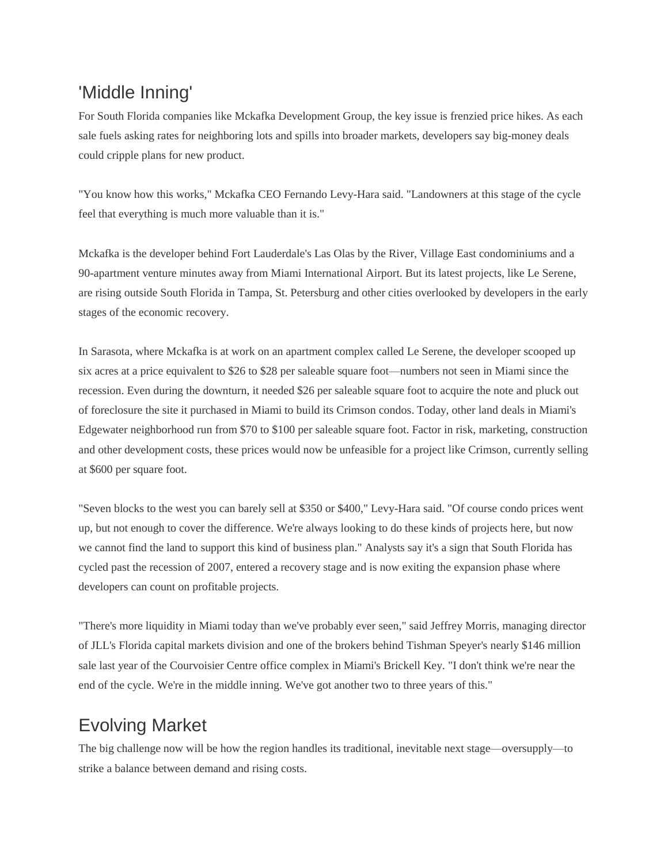## 'Middle Inning'

For South Florida companies like Mckafka Development Group, the key issue is frenzied price hikes. As each sale fuels asking rates for neighboring lots and spills into broader markets, developers say big-money deals could cripple plans for new product.

"You know how this works," Mckafka CEO Fernando Levy-Hara said. "Landowners at this stage of the cycle feel that everything is much more valuable than it is."

Mckafka is the developer behind Fort Lauderdale's Las Olas by the River, Village East condominiums and a 90-apartment venture minutes away from Miami International Airport. But its latest projects, like Le Serene, are rising outside South Florida in Tampa, St. Petersburg and other cities overlooked by developers in the early stages of the economic recovery.

In Sarasota, where Mckafka is at work on an apartment complex called Le Serene, the developer scooped up six acres at a price equivalent to \$26 to \$28 per saleable square foot—numbers not seen in Miami since the recession. Even during the downturn, it needed \$26 per saleable square foot to acquire the note and pluck out of foreclosure the site it purchased in Miami to build its Crimson condos. Today, other land deals in Miami's Edgewater neighborhood run from \$70 to \$100 per saleable square foot. Factor in risk, marketing, construction and other development costs, these prices would now be unfeasible for a project like Crimson, currently selling at \$600 per square foot.

"Seven blocks to the west you can barely sell at \$350 or \$400," Levy-Hara said. "Of course condo prices went up, but not enough to cover the difference. We're always looking to do these kinds of projects here, but now we cannot find the land to support this kind of business plan." Analysts say it's a sign that South Florida has cycled past the recession of 2007, entered a recovery stage and is now exiting the expansion phase where developers can count on profitable projects.

"There's more liquidity in Miami today than we've probably ever seen," said Jeffrey Morris, managing director of JLL's Florida capital markets division and one of the brokers behind Tishman Speyer's nearly \$146 million sale last year of the Courvoisier Centre office complex in Miami's Brickell Key. "I don't think we're near the end of the cycle. We're in the middle inning. We've got another two to three years of this."

### Evolving Market

The big challenge now will be how the region handles its traditional, inevitable next stage—oversupply—to strike a balance between demand and rising costs.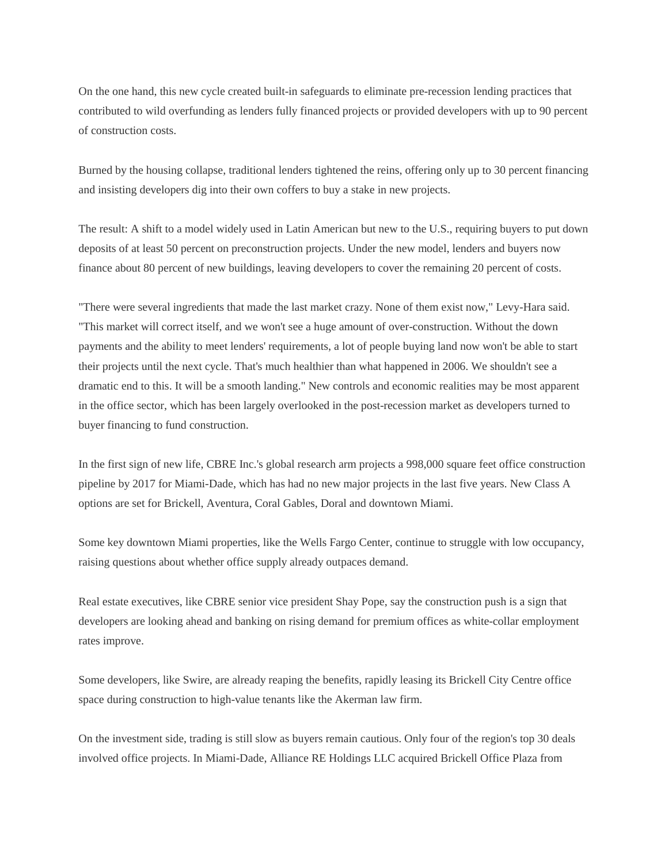On the one hand, this new cycle created built-in safeguards to eliminate pre-recession lending practices that contributed to wild overfunding as lenders fully financed projects or provided developers with up to 90 percent of construction costs.

Burned by the housing collapse, traditional lenders tightened the reins, offering only up to 30 percent financing and insisting developers dig into their own coffers to buy a stake in new projects.

The result: A shift to a model widely used in Latin American but new to the U.S., requiring buyers to put down deposits of at least 50 percent on preconstruction projects. Under the new model, lenders and buyers now finance about 80 percent of new buildings, leaving developers to cover the remaining 20 percent of costs.

"There were several ingredients that made the last market crazy. None of them exist now," Levy-Hara said. "This market will correct itself, and we won't see a huge amount of over-construction. Without the down payments and the ability to meet lenders' requirements, a lot of people buying land now won't be able to start their projects until the next cycle. That's much healthier than what happened in 2006. We shouldn't see a dramatic end to this. It will be a smooth landing." New controls and economic realities may be most apparent in the office sector, which has been largely overlooked in the post-recession market as developers turned to buyer financing to fund construction.

In the first sign of new life, CBRE Inc.'s global research arm projects a 998,000 square feet office construction pipeline by 2017 for Miami-Dade, which has had no new major projects in the last five years. New Class A options are set for Brickell, Aventura, Coral Gables, Doral and downtown Miami.

Some key downtown Miami properties, like the Wells Fargo Center, continue to struggle with low occupancy, raising questions about whether office supply already outpaces demand.

Real estate executives, like CBRE senior vice president Shay Pope, say the construction push is a sign that developers are looking ahead and banking on rising demand for premium offices as white-collar employment rates improve.

Some developers, like Swire, are already reaping the benefits, rapidly leasing its Brickell City Centre office space during construction to high-value tenants like the Akerman law firm.

On the investment side, trading is still slow as buyers remain cautious. Only four of the region's top 30 deals involved office projects. In Miami-Dade, Alliance RE Holdings LLC acquired Brickell Office Plaza from